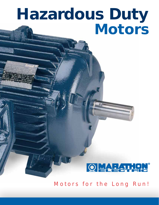# *Hazardous Duty Motors*

### OMA EZAT H

*Motors for the Long Run!*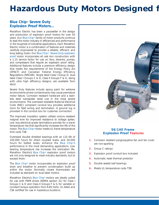## *Hazardous Duty Motors Designed f*

#### *Blue Chip® Severe Duty Explosion Proof Motors...*

*Marathon Electric has been a pacesetter in the design and production of explosion proof motors for over 50 years. Our Blue Chip® family of motor products continue to lead the motor industry in efficiencies and performance in the toughest of industrial applications. Each Marathon Electric motor is a combination of features and materials carefully engineered to provide a reliable, efficient, and long lasting motor. Our Blue Chip® - Severe Duty explosion proof motor incorporates all cast iron construction with a 1.15 service factor for use on fans, blowers, pumps, and compressors that require an explosion proof rating. Additional features include a premium efficiency design that meets the requirements of the Energy Policy Act (EPACT) and Canadian Federal Energy Efficiency Regulations (NRCAN). Single label Class I Group D, dual label Class I Groups C & D, Class II Groups F & G, along with ultra high efficiency designs, are available from stock.*

*Severe Duty features include epoxy paint for extreme environments where contaminants may cause premature motor failure. Corrosion resistant hardware and a stain*less steel nameplate resist rust in the most severe *environments. The oversized rotatable National Electrical Code (NEC) compliant conduit box provides additional room for field wiring and termination. A ground lug is provided in the conduit box for customer connection.*

*The improved insulation system utilizes corona resistant magnet wire for improved resistance to voltage spikes. Low loss electrical grade laminations provide for a lower temperature rise that significantly increases the life of the motor. The Blue Chip® motor meets UL frame temperature limit code T3B.*

*Oversized double shielded bearings with an L10 life of 100,000 hours for direct coupled loads, and 50,000 hours for belted loads, enhance the Blue Chip®'s performance in the most demanding applications. Low bearing temperature rise increases the lubrication life. Marathon Electric's Blue Chip® explosion proof motors are not only designed to meet industry standards, but to exceed them.*

*The Blue Chip® motor incorporates an explosion proof drain and breather to prevent condensation build up within the motor. Normally closed thermostats are included as standard on dual label motors.*

*Marathon Electric's Blue Chip® motors are ideally suited for use with PWM drives (NEMA section 31) for Class I Groups C & D and Class II Groups F & G for variable or constant torque operation from 6-60 hertz. UL listed and CSA certified for use in hazardous locations.*



#### *56/140 Frame Explosion Proof Features*

- *1. Corrosion resistant polypropylene fan and fan cover are non-sparking*
- *2. Group C ratings*
- *3. Explosion proof conduit box included*
- *4. Automatic reset thermal protector*
- *5. Double sealed ball bearings*
- *6. Meets UL temperature code T3B*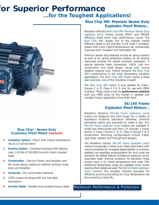## *for Superior Performance ...for the Toughest Applications!*



#### *Blue Chip*® *- Severe Duty Explosion Proof Motor Features*

- *1. Insulation System Class F with Class B temperature rise at 1.0 service factor*
- *2. Bearing System Oversized bearings with bearing caps, L-10 life of 100,000 hours for direct coupled loads*
- *3. Construction Cast iron frame, end brackets, and fan cover, epoxy coating on external surfaces; brass drain and breather*
- *4. Hardware Zinc dichromate hardware*
- *5. 100% copper windings with low loss steel laminations*
- *6. Inverter Rated Variable and constant torque rated Maximum Performance & Protection*

#### *Blue Chip XRI® Premium Severe Duty Explosion Proof Motors…*

*Marathon Electric's Blue Chip XRI® Premium Severe Duty explosion proof motors exceed EPACT and NRCAN efficiency levels when high performance counts. The Blue Chip XRI® boasts one of the highest overall efficiency levels in the industry. A full Class F insulation system with a low Class B temperature rise, substantially improves both insulation and lubrication life.*

*Premium severe duty features include an epoxy exterior as well as an epoxy protective coating on all internal machined surfaces for added corrosion protection. A special stainless steel nameplate, 100% cast iron construction and shaft slinger, along with corona resistant magnet wire, further enhance the Blue Chip XRI®'s performance in the most demanding industrial applications. The Blue Chip XRI® motor carries a three year warranty, one of the industries longest!*

*The Blue Chip XRI® motor is dual labeled for Class I Groups C & D, Class II F & G and for use with PWM inverters. These motors may be performance matched with any PWM drive on the market in variable and constant torque applications from 6-60 hertz.*

#### *56/140 Frame Explosion Proof Motors...*

*Marathon Electric's 56/140 frame explosion proof motors are designed and built tough for a variety of hazardous locations: petroleum refineries, chemical processing plants and granaries to name a few. Our 56/140 frame explosion proof motors are available in single and three phase and from 1/4 through 2 horsepower in Class I Groups C & D, Class II Groups F & G construction. Mounting configurations include C-face, rigid base, resilient and through-bolt designs.*

*The Marathon Electric 56/140 frame explosion proof motors incorporate a heavy duty rolled steel frame with cast iron brackets for increased dependability. A corrosion resistant non-sparking polypropylene fan and cover are standard. An added feature includes an explosion proof, automatic reset, thermal protector. As standard, these motors carry a UL frame temperature limit code T3B. Additional temperature codes are available when lower opening thermostats are used. The 56/140 frame explosion proof product line exceeds industry averages for efficiency as well as providing for a low temperature rise thus ensuring a long life.*